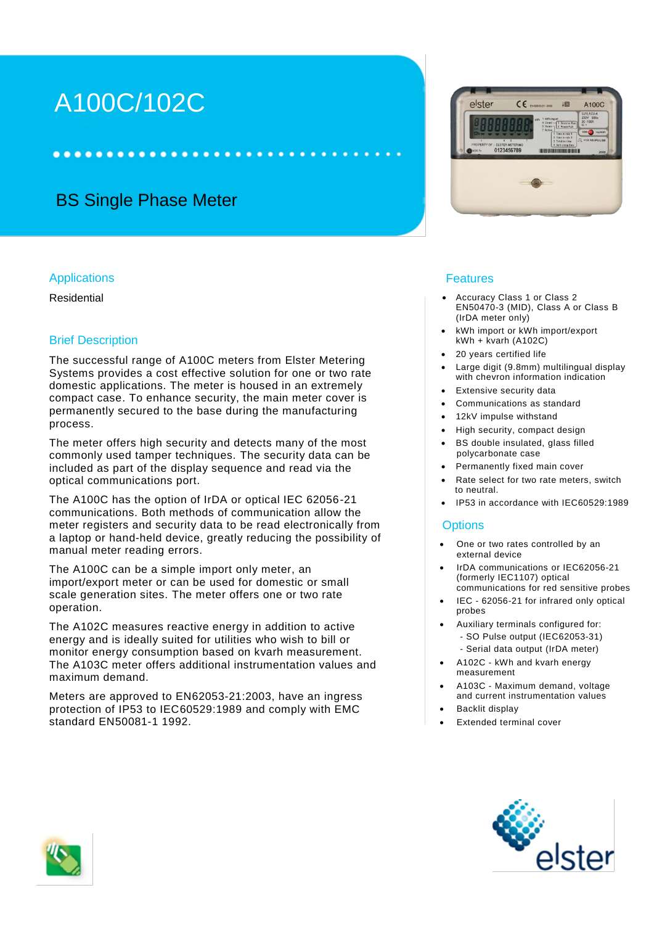# A100C/102C

.......

## BS Single Phase Meter

......

#### **Applications**

Residential

#### Brief Description

The successful range of A100C meters from Elster Metering Systems provides a cost effective solution for one or two rate domestic applications. The meter is housed in an extremely compact case. To enhance security, the main meter cover is permanently secured to the base during the manufacturing process.

The meter offers high security and detects many of the most commonly used tamper techniques. The security data can be included as part of the display sequence and read via the optical communications port.

The A100C has the option of IrDA or optical IEC 62056-21 communications. Both methods of communication allow the meter registers and security data to be read electronically from a laptop or hand-held device, greatly reducing the possibility of manual meter reading errors.

The A100C can be a simple import only meter, an import/export meter or can be used for domestic or small scale generation sites. The meter offers one or two rate operation.

The A102C measures reactive energy in addition to active energy and is ideally suited for utilities who wish to bill or monitor energy consumption based on kvarh measurement. The A103C meter offers additional instrumentation values and maximum demand.

Meters are approved to EN62053-21:2003, have an ingress protection of IP53 to IEC60529:1989 and comply with EMC standard EN50081-1 1992.



#### Features

- Accuracy Class 1 or Class 2 EN50470-3 (MID), Class A or Class B (IrDA meter only)
- kWh import or kWh import/export kWh + kvarh (A102C)
- 20 years certified life
- Large digit (9.8mm) multilingual display with chevron information indication
- Extensive security data
- Communications as standard
- 12kV impulse withstand
- High security, compact design
- BS double insulated, glass filled polycarbonate case
- Permanently fixed main cover
- Rate select for two rate meters, switch to neutral.
- IP53 in accordance with IEC60529:1989

#### **Options**

- One or two rates controlled by an external device
- IrDA communications or IEC62056-21 (formerly IEC1107) optical communications for red sensitive probes
- IEC 62056-21 for infrared only optical probes
- Auxiliary terminals configured for: - SO Pulse output (IEC62053-31) - Serial data output (IrDA meter)
- A102C kWh and kvarh energy measurement
- A103C Maximum demand, voltage and current instrumentation values
- Backlit display
- Extended terminal cover